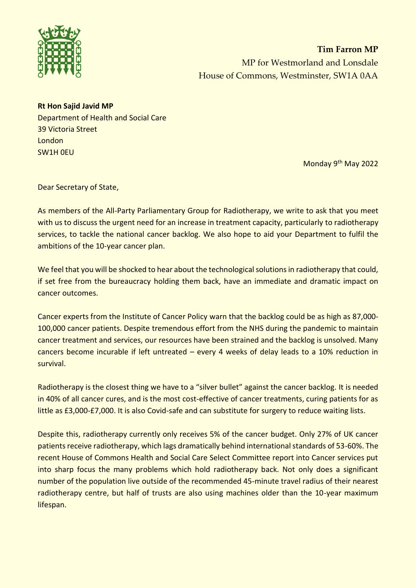

**Tim Farron MP** MP for Westmorland and Lonsdale House of Commons, Westminster, SW1A 0AA

## **Rt Hon Sajid Javid MP**

Department of Health and Social Care 39 Victoria Street **London** SW1H 0EU

Monday 9th May 2022

Dear Secretary of State,

As members of the All-Party Parliamentary Group for Radiotherapy, we write to ask that you meet with us to discuss the urgent need for an increase in treatment capacity, particularly to radiotherapy services, to tackle the national cancer backlog. We also hope to aid your Department to fulfil the ambitions of the 10-year cancer plan.

We feel that you will be shocked to hear about the technological solutions in radiotherapy that could, if set free from the bureaucracy holding them back, have an immediate and dramatic impact on cancer outcomes.

Cancer experts from the Institute of Cancer Policy warn that the backlog could be as high as 87,000- 100,000 cancer patients. Despite tremendous effort from the NHS during the pandemic to maintain cancer treatment and services, our resources have been strained and the backlog is unsolved. Many cancers become incurable if left untreated – every 4 weeks of delay leads to a 10% reduction in survival.

Radiotherapy is the closest thing we have to a "silver bullet" against the cancer backlog. It is needed in 40% of all cancer cures, and is the most cost-effective of cancer treatments, curing patients for as little as £3,000-£7,000. It is also Covid-safe and can substitute for surgery to reduce waiting lists.

Despite this, radiotherapy currently only receives 5% of the cancer budget. Only 27% of UK cancer patients receive radiotherapy, which lags dramatically behind international standards of 53-60%. The recent House of Commons Health and Social Care Select Committee report into Cancer services put into sharp focus the many problems which hold radiotherapy back. Not only does a significant number of the population live outside of the recommended 45-minute travel radius of their nearest radiotherapy centre, but half of trusts are also using machines older than the 10-year maximum lifespan.